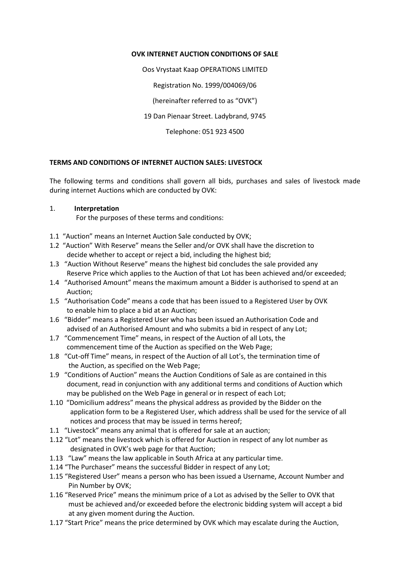## **OVK INTERNET AUCTION CONDITIONS OF SALE**

Oos Vrystaat Kaap OPERATIONS LIMITED

Registration No. 1999/004069/06

(hereinafter referred to as "OVK")

19 Dan Pienaar Street. Ladybrand, 9745

Telephone: 051 923 4500

## **TERMS AND CONDITIONS OF INTERNET AUCTION SALES: LIVESTOCK**

The following terms and conditions shall govern all bids, purchases and sales of livestock made during internet Auctions which are conducted by OVK:

## 1. **Interpretation**

For the purposes of these terms and conditions:

- 1.1 "Auction" means an Internet Auction Sale conducted by OVK;
- 1.2 "Auction" With Reserve" means the Seller and/or OVK shall have the discretion to decide whether to accept or reject a bid, including the highest bid;
- 1.3 "Auction Without Reserve" means the highest bid concludes the sale provided any Reserve Price which applies to the Auction of that Lot has been achieved and/or exceeded;
- 1.4 "Authorised Amount" means the maximum amount a Bidder is authorised to spend at an Auction;
- 1.5 "Authorisation Code" means a code that has been issued to a Registered User by OVK to enable him to place a bid at an Auction;
- 1.6 "Bidder" means a Registered User who has been issued an Authorisation Code and advised of an Authorised Amount and who submits a bid in respect of any Lot;
- 1.7 "Commencement Time" means, in respect of the Auction of all Lots, the commencement time of the Auction as specified on the Web Page;
- 1.8 "Cut-off Time" means, in respect of the Auction of all Lot's, the termination time of the Auction, as specified on the Web Page;
- 1.9 "Conditions of Auction" means the Auction Conditions of Sale as are contained in this document, read in conjunction with any additional terms and conditions of Auction which may be published on the Web Page in general or in respect of each Lot;
- 1.10 "Domicilium address" means the physical address as provided by the Bidder on the application form to be a Registered User, which address shall be used for the service of all notices and process that may be issued in terms hereof;
- 1.1 "Livestock" means any animal that is offered for sale at an auction;
- 1.12 "Lot" means the livestock which is offered for Auction in respect of any lot number as designated in OVK's web page for that Auction;
- 1.13 "Law" means the law applicable in South Africa at any particular time.
- 1.14 "The Purchaser" means the successful Bidder in respect of any Lot;
- 1.15 "Registered User" means a person who has been issued a Username, Account Number and Pin Number by OVK;
- 1.16 "Reserved Price" means the minimum price of a Lot as advised by the Seller to OVK that must be achieved and/or exceeded before the electronic bidding system will accept a bid at any given moment during the Auction.
- 1.17 "Start Price" means the price determined by OVK which may escalate during the Auction,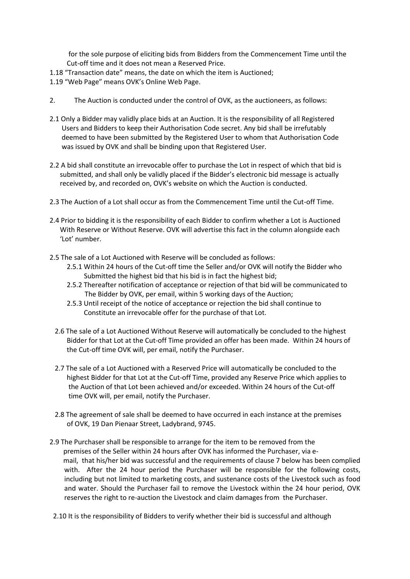for the sole purpose of eliciting bids from Bidders from the Commencement Time until the Cut-off time and it does not mean a Reserved Price.

- 1.18 "Transaction date" means, the date on which the item is Auctioned;
- 1.19 "Web Page" means OVK's Online Web Page.
- 2. The Auction is conducted under the control of OVK, as the auctioneers, as follows:
- 2.1 Only a Bidder may validly place bids at an Auction. It is the responsibility of all Registered Users and Bidders to keep their Authorisation Code secret. Any bid shall be irrefutably deemed to have been submitted by the Registered User to whom that Authorisation Code was issued by OVK and shall be binding upon that Registered User.
- 2.2 A bid shall constitute an irrevocable offer to purchase the Lot in respect of which that bid is submitted, and shall only be validly placed if the Bidder's electronic bid message is actually received by, and recorded on, OVK's website on which the Auction is conducted.
- 2.3 The Auction of a Lot shall occur as from the Commencement Time until the Cut-off Time.
- 2.4 Prior to bidding it is the responsibility of each Bidder to confirm whether a Lot is Auctioned With Reserve or Without Reserve. OVK will advertise this fact in the column alongside each 'Lot' number.
- 2.5 The sale of a Lot Auctioned with Reserve will be concluded as follows:
	- 2.5.1 Within 24 hours of the Cut-off time the Seller and/or OVK will notify the Bidder who Submitted the highest bid that his bid is in fact the highest bid;
	- 2.5.2 Thereafter notification of acceptance or rejection of that bid will be communicated to The Bidder by OVK, per email, within 5 working days of the Auction;
	- 2.5.3 Until receipt of the notice of acceptance or rejection the bid shall continue to Constitute an irrevocable offer for the purchase of that Lot.
	- 2.6 The sale of a Lot Auctioned Without Reserve will automatically be concluded to the highest Bidder for that Lot at the Cut-off Time provided an offer has been made. Within 24 hours of the Cut-off time OVK will, per email, notify the Purchaser.
	- 2.7 The sale of a Lot Auctioned with a Reserved Price will automatically be concluded to the highest Bidder for that Lot at the Cut-off Time, provided any Reserve Price which applies to the Auction of that Lot been achieved and/or exceeded. Within 24 hours of the Cut-off time OVK will, per email, notify the Purchaser.
	- 2.8 The agreement of sale shall be deemed to have occurred in each instance at the premises of OVK, 19 Dan Pienaar Street, Ladybrand, 9745.
- 2.9 The Purchaser shall be responsible to arrange for the item to be removed from the premises of the Seller within 24 hours after OVK has informed the Purchaser, via e mail, that his/her bid was successful and the requirements of clause 7 below has been complied with. After the 24 hour period the Purchaser will be responsible for the following costs, including but not limited to marketing costs, and sustenance costs of the Livestock such as food and water. Should the Purchaser fail to remove the Livestock within the 24 hour period, OVK reserves the right to re-auction the Livestock and claim damages from the Purchaser.
- 2.10 It is the responsibility of Bidders to verify whether their bid is successful and although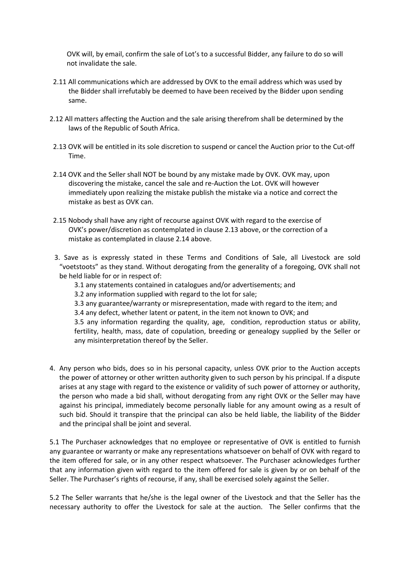OVK will, by email, confirm the sale of Lot's to a successful Bidder, any failure to do so will not invalidate the sale.

- 2.11 All communications which are addressed by OVK to the email address which was used by the Bidder shall irrefutably be deemed to have been received by the Bidder upon sending same.
- 2.12 All matters affecting the Auction and the sale arising therefrom shall be determined by the laws of the Republic of South Africa.
- 2.13 OVK will be entitled in its sole discretion to suspend or cancel the Auction prior to the Cut-off Time.
- 2.14 OVK and the Seller shall NOT be bound by any mistake made by OVK. OVK may, upon discovering the mistake, cancel the sale and re-Auction the Lot. OVK will however immediately upon realizing the mistake publish the mistake via a notice and correct the mistake as best as OVK can.
- 2.15 Nobody shall have any right of recourse against OVK with regard to the exercise of OVK's power/discretion as contemplated in clause 2.13 above, or the correction of a mistake as contemplated in clause 2.14 above.
- 3. Save as is expressly stated in these Terms and Conditions of Sale, all Livestock are sold "voetstoots" as they stand. Without derogating from the generality of a foregoing, OVK shall not be held liable for or in respect of:
	- 3.1 any statements contained in catalogues and/or advertisements; and
	- 3.2 any information supplied with regard to the lot for sale;
	- 3.3 any guarantee/warranty or misrepresentation, made with regard to the item; and
	- 3.4 any defect, whether latent or patent, in the item not known to OVK; and

3.5 any information regarding the quality, age, condition, reproduction status or ability, fertility, health, mass, date of copulation, breeding or genealogy supplied by the Seller or any misinterpretation thereof by the Seller.

4. Any person who bids, does so in his personal capacity, unless OVK prior to the Auction accepts the power of attorney or other written authority given to such person by his principal. If a dispute arises at any stage with regard to the existence or validity of such power of attorney or authority, the person who made a bid shall, without derogating from any right OVK or the Seller may have against his principal, immediately become personally liable for any amount owing as a result of such bid. Should it transpire that the principal can also be held liable, the liability of the Bidder and the principal shall be joint and several.

5.1 The Purchaser acknowledges that no employee or representative of OVK is entitled to furnish any guarantee or warranty or make any representations whatsoever on behalf of OVK with regard to the item offered for sale, or in any other respect whatsoever. The Purchaser acknowledges further that any information given with regard to the item offered for sale is given by or on behalf of the Seller. The Purchaser's rights of recourse, if any, shall be exercised solely against the Seller.

5.2 The Seller warrants that he/she is the legal owner of the Livestock and that the Seller has the necessary authority to offer the Livestock for sale at the auction. The Seller confirms that the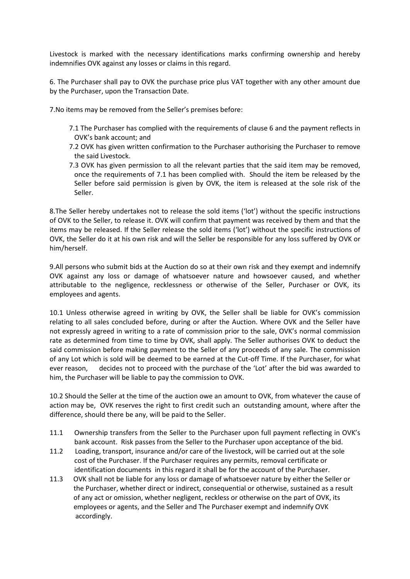Livestock is marked with the necessary identifications marks confirming ownership and hereby indemnifies OVK against any losses or claims in this regard.

6. The Purchaser shall pay to OVK the purchase price plus VAT together with any other amount due by the Purchaser, upon the Transaction Date.

7.No items may be removed from the Seller's premises before:

- 7.1 The Purchaser has complied with the requirements of clause 6 and the payment reflects in OVK's bank account; and
- 7.2 OVK has given written confirmation to the Purchaser authorising the Purchaser to remove the said Livestock.
- 7.3 OVK has given permission to all the relevant parties that the said item may be removed, once the requirements of 7.1 has been complied with. Should the item be released by the Seller before said permission is given by OVK, the item is released at the sole risk of the Seller.

8.The Seller hereby undertakes not to release the sold items ('lot') without the specific instructions of OVK to the Seller, to release it. OVK will confirm that payment was received by them and that the items may be released. If the Seller release the sold items ('lot') without the specific instructions of OVK, the Seller do it at his own risk and will the Seller be responsible for any loss suffered by OVK or him/herself.

9.All persons who submit bids at the Auction do so at their own risk and they exempt and indemnify OVK against any loss or damage of whatsoever nature and howsoever caused, and whether attributable to the negligence, recklessness or otherwise of the Seller, Purchaser or OVK, its employees and agents.

10.1 Unless otherwise agreed in writing by OVK, the Seller shall be liable for OVK's commission relating to all sales concluded before, during or after the Auction. Where OVK and the Seller have not expressly agreed in writing to a rate of commission prior to the sale, OVK's normal commission rate as determined from time to time by OVK, shall apply. The Seller authorises OVK to deduct the said commission before making payment to the Seller of any proceeds of any sale. The commission of any Lot which is sold will be deemed to be earned at the Cut-off Time. If the Purchaser, for what ever reason, decides not to proceed with the purchase of the 'Lot' after the bid was awarded to him, the Purchaser will be liable to pay the commission to OVK.

10.2 Should the Seller at the time of the auction owe an amount to OVK, from whatever the cause of action may be, OVK reserves the right to first credit such an outstanding amount, where after the difference, should there be any, will be paid to the Seller.

- 11.1 Ownership transfers from the Seller to the Purchaser upon full payment reflecting in OVK's bank account. Risk passes from the Seller to the Purchaser upon acceptance of the bid.
- 11.2 Loading, transport, insurance and/or care of the livestock, will be carried out at the sole cost of the Purchaser. If the Purchaser requires any permits, removal certificate or identification documents in this regard it shall be for the account of the Purchaser.
- 11.3 OVK shall not be liable for any loss or damage of whatsoever nature by either the Seller or the Purchaser, whether direct or indirect, consequential or otherwise, sustained as a result of any act or omission, whether negligent, reckless or otherwise on the part of OVK, its employees or agents, and the Seller and The Purchaser exempt and indemnify OVK accordingly.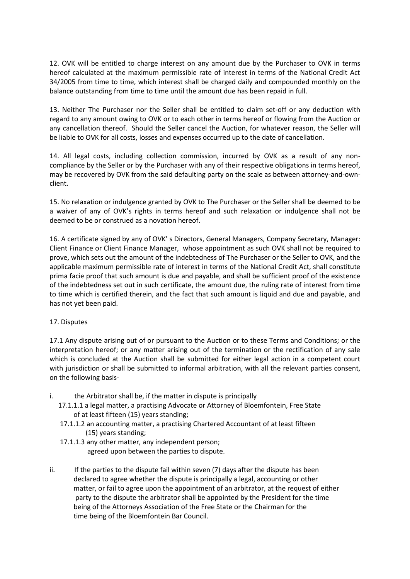12. OVK will be entitled to charge interest on any amount due by the Purchaser to OVK in terms hereof calculated at the maximum permissible rate of interest in terms of the National Credit Act 34/2005 from time to time, which interest shall be charged daily and compounded monthly on the balance outstanding from time to time until the amount due has been repaid in full.

13. Neither The Purchaser nor the Seller shall be entitled to claim set-off or any deduction with regard to any amount owing to OVK or to each other in terms hereof or flowing from the Auction or any cancellation thereof. Should the Seller cancel the Auction, for whatever reason, the Seller will be liable to OVK for all costs, losses and expenses occurred up to the date of cancellation.

14. All legal costs, including collection commission, incurred by OVK as a result of any noncompliance by the Seller or by the Purchaser with any of their respective obligations in terms hereof, may be recovered by OVK from the said defaulting party on the scale as between attorney-and-ownclient.

15. No relaxation or indulgence granted by OVK to The Purchaser or the Seller shall be deemed to be a waiver of any of OVK's rights in terms hereof and such relaxation or indulgence shall not be deemed to be or construed as a novation hereof.

16. A certificate signed by any of OVK' s Directors, General Managers, Company Secretary, Manager: Client Finance or Client Finance Manager, whose appointment as such OVK shall not be required to prove, which sets out the amount of the indebtedness of The Purchaser or the Seller to OVK, and the applicable maximum permissible rate of interest in terms of the National Credit Act, shall constitute prima facie proof that such amount is due and payable, and shall be sufficient proof of the existence of the indebtedness set out in such certificate, the amount due, the ruling rate of interest from time to time which is certified therein, and the fact that such amount is liquid and due and payable, and has not yet been paid.

## 17. Disputes

17.1 Any dispute arising out of or pursuant to the Auction or to these Terms and Conditions; or the interpretation hereof; or any matter arising out of the termination or the rectification of any sale which is concluded at the Auction shall be submitted for either legal action in a competent court with jurisdiction or shall be submitted to informal arbitration, with all the relevant parties consent, on the following basis-

- i. the Arbitrator shall be, if the matter in dispute is principally
	- 17.1.1.1 a legal matter, a practising Advocate or Attorney of Bloemfontein, Free State of at least fifteen (15) years standing;
	- 17.1.1.2 an accounting matter, a practising Chartered Accountant of at least fifteen (15) years standing;
	- 17.1.1.3 any other matter, any independent person; agreed upon between the parties to dispute.
- ii. If the parties to the dispute fail within seven (7) days after the dispute has been declared to agree whether the dispute is principally a legal, accounting or other matter, or fail to agree upon the appointment of an arbitrator, at the request of either party to the dispute the arbitrator shall be appointed by the President for the time being of the Attorneys Association of the Free State or the Chairman for the time being of the Bloemfontein Bar Council.